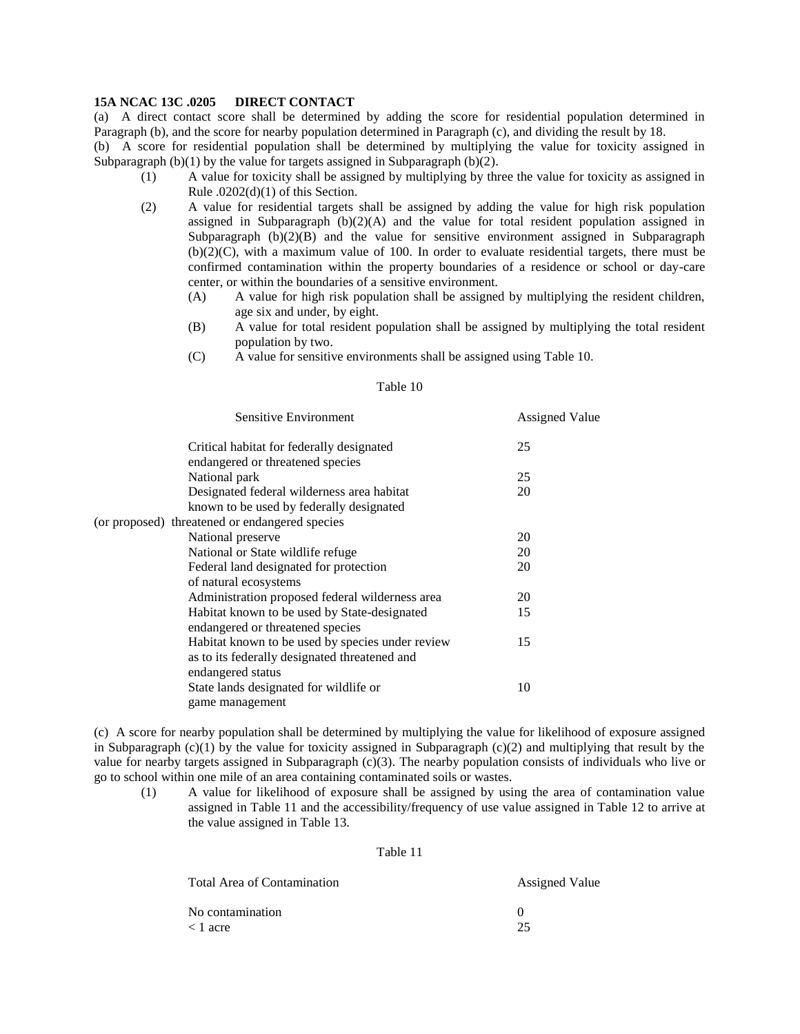## **15A NCAC 13C .0205 DIRECT CONTACT**

(a) A direct contact score shall be determined by adding the score for residential population determined in Paragraph (b), and the score for nearby population determined in Paragraph (c), and dividing the result by 18.

(b) A score for residential population shall be determined by multiplying the value for toxicity assigned in Subparagraph  $(b)(1)$  by the value for targets assigned in Subparagraph  $(b)(2)$ .

- (1) A value for toxicity shall be assigned by multiplying by three the value for toxicity as assigned in Rule  $.0202(d)(1)$  of this Section.
- (2) A value for residential targets shall be assigned by adding the value for high risk population assigned in Subparagraph  $(b)(2)(A)$  and the value for total resident population assigned in Subparagraph  $(b)(2)(B)$  and the value for sensitive environment assigned in Subparagraph (b)(2)(C), with a maximum value of 100. In order to evaluate residential targets, there must be confirmed contamination within the property boundaries of a residence or school or day-care center, or within the boundaries of a sensitive environment.
	- (A) A value for high risk population shall be assigned by multiplying the resident children, age six and under, by eight.
	- (B) A value for total resident population shall be assigned by multiplying the total resident population by two.
	- (C) A value for sensitive environments shall be assigned using Table 10.

## Table 10

| Sensitive Environment                                                                             | <b>Assigned Value</b> |  |
|---------------------------------------------------------------------------------------------------|-----------------------|--|
| Critical habitat for federally designated<br>endangered or threatened species                     | 25                    |  |
| National park                                                                                     | 25                    |  |
| Designated federal wilderness area habitat<br>known to be used by federally designated            | 20                    |  |
| (or proposed) threatened or endangered species                                                    |                       |  |
| National preserve                                                                                 | 20                    |  |
| National or State wildlife refuge                                                                 | 20                    |  |
| Federal land designated for protection<br>of natural ecosystems                                   | 20                    |  |
| Administration proposed federal wilderness area                                                   | 20                    |  |
| Habitat known to be used by State-designated<br>endangered or threatened species                  | 15                    |  |
| Habitat known to be used by species under review<br>as to its federally designated threatened and | 15                    |  |
| endangered status                                                                                 |                       |  |
| State lands designated for wildlife or<br>game management                                         | 10                    |  |

(c) A score for nearby population shall be determined by multiplying the value for likelihood of exposure assigned in Subparagraph  $(c)(1)$  by the value for toxicity assigned in Subparagraph  $(c)(2)$  and multiplying that result by the value for nearby targets assigned in Subparagraph (c)(3). The nearby population consists of individuals who live or go to school within one mile of an area containing contaminated soils or wastes.

(1) A value for likelihood of exposure shall be assigned by using the area of contamination value assigned in Table 11 and the accessibility/frequency of use value assigned in Table 12 to arrive at the value assigned in Table 13.

#### Table 11

| Total Area of Contamination | <b>Assigned Value</b> |  |  |
|-----------------------------|-----------------------|--|--|
| No contamination            |                       |  |  |
| < 1 acre                    | つう                    |  |  |